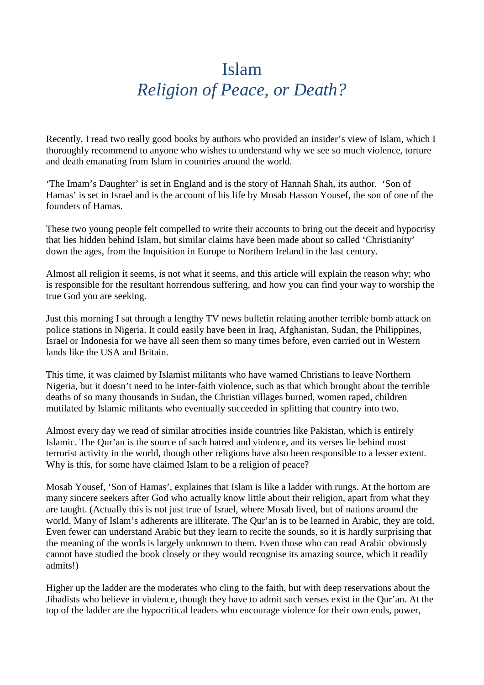## Islam *Religion of Peace, or Death?*

Recently, I read two really good books by authors who provided an insider's view of Islam, which I thoroughly recommend to anyone who wishes to understand why we see so much violence, torture and death emanating from Islam in countries around the world.

'The Imam's Daughter' is set in England and is the story of Hannah Shah, its author. 'Son of Hamas' is set in Israel and is the account of his life by Mosab Hasson Yousef, the son of one of the founders of Hamas.

These two young people felt compelled to write their accounts to bring out the deceit and hypocrisy that lies hidden behind Islam, but similar claims have been made about so called 'Christianity' down the ages, from the Inquisition in Europe to Northern Ireland in the last century.

Almost all religion it seems, is not what it seems, and this article will explain the reason why; who is responsible for the resultant horrendous suffering, and how you can find your way to worship the true God you are seeking.

Just this morning I sat through a lengthy TV news bulletin relating another terrible bomb attack on police stations in Nigeria. It could easily have been in Iraq, Afghanistan, Sudan, the Philippines, Israel or Indonesia for we have all seen them so many times before, even carried out in Western lands like the USA and Britain.

This time, it was claimed by Islamist militants who have warned Christians to leave Northern Nigeria, but it doesn't need to be inter-faith violence, such as that which brought about the terrible deaths of so many thousands in Sudan, the Christian villages burned, women raped, children mutilated by Islamic militants who eventually succeeded in splitting that country into two.

Almost every day we read of similar atrocities inside countries like Pakistan, which is entirely Islamic. The Qur'an is the source of such hatred and violence, and its verses lie behind most terrorist activity in the world, though other religions have also been responsible to a lesser extent. Why is this, for some have claimed Islam to be a religion of peace?

Mosab Yousef, 'Son of Hamas', explaines that Islam is like a ladder with rungs. At the bottom are many sincere seekers after God who actually know little about their religion, apart from what they are taught. (Actually this is not just true of Israel, where Mosab lived, but of nations around the world. Many of Islam's adherents are illiterate. The Qur'an is to be learned in Arabic, they are told. Even fewer can understand Arabic but they learn to recite the sounds, so it is hardly surprising that the meaning of the words is largely unknown to them. Even those who can read Arabic obviously cannot have studied the book closely or they would recognise its amazing source, which it readily admits!)

Higher up the ladder are the moderates who cling to the faith, but with deep reservations about the Jihadists who believe in violence, though they have to admit such verses exist in the Qur'an. At the top of the ladder are the hypocritical leaders who encourage violence for their own ends, power,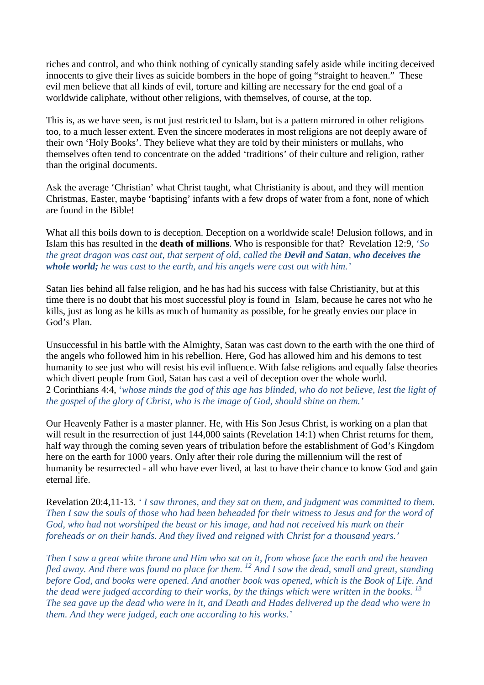riches and control, and who think nothing of cynically standing safely aside while inciting deceived innocents to give their lives as suicide bombers in the hope of going "straight to heaven." These evil men believe that all kinds of evil, torture and killing are necessary for the end goal of a worldwide caliphate, without other religions, with themselves, of course, at the top.

This is, as we have seen, is not just restricted to Islam, but is a pattern mirrored in other religions too, to a much lesser extent. Even the sincere moderates in most religions are not deeply aware of their own 'Holy Books'. They believe what they are told by their ministers or mullahs, who themselves often tend to concentrate on the added 'traditions' of their culture and religion, rather than the original documents.

Ask the average 'Christian' what Christ taught, what Christianity is about, and they will mention Christmas, Easter, maybe 'baptising' infants with a few drops of water from a font, none of which are found in the Bible!

What all this boils down to is deception. Deception on a worldwide scale! Delusion follows, and in Islam this has resulted in the **death of millions**. Who is responsible for that? Revelation 12:9, '*So the great dragon was cast out, that serpent of old, called the Devil and Satan, who deceives the whole world; he was cast to the earth, and his angels were cast out with him.'* 

Satan lies behind all false religion, and he has had his success with false Christianity, but at this time there is no doubt that his most successful ploy is found in Islam, because he cares not who he kills, just as long as he kills as much of humanity as possible, for he greatly envies our place in God's Plan.

Unsuccessful in his battle with the Almighty, Satan was cast down to the earth with the one third of the angels who followed him in his rebellion. Here, God has allowed him and his demons to test humanity to see just who will resist his evil influence. With false religions and equally false theories which divert people from God, Satan has cast a veil of deception over the whole world. 2 Corinthians 4:4, '*whose minds the god of this age has blinded, who do not believe, lest the light of the gospel of the glory of Christ, who is the image of God, should shine on them.'* 

Our Heavenly Father is a master planner. He, with His Son Jesus Christ, is working on a plan that will result in the resurrection of just  $144,000$  saints (Revelation 14:1) when Christ returns for them, half way through the coming seven years of tribulation before the establishment of God's Kingdom here on the earth for 1000 years. Only after their role during the millennium will the rest of humanity be resurrected - all who have ever lived, at last to have their chance to know God and gain eternal life.

Revelation 20:4,11-13. *' I saw thrones, and they sat on them, and judgment was committed to them. Then I saw the souls of those who had been beheaded for their witness to Jesus and for the word of God, who had not worshiped the beast or his image, and had not received his mark on their foreheads or on their hands. And they lived and reigned with Christ for a thousand years.'* 

*Then I saw a great white throne and Him who sat on it, from whose face the earth and the heaven fled away. And there was found no place for them.* <sup>12</sup> *And I saw the dead, small and great, standing fled away. And there was found no place for them.* <sup>12</sup> *And I saw the dead, small and great, standing before God, and books were opened. And another book was opened, which is the Book of Life. And the dead were judged according to their works, by the things which were written in the books. <sup>13</sup> The sea gave up the dead who were in it, and Death and Hades delivered up the dead who were in them. And they were judged, each one according to his works.'*